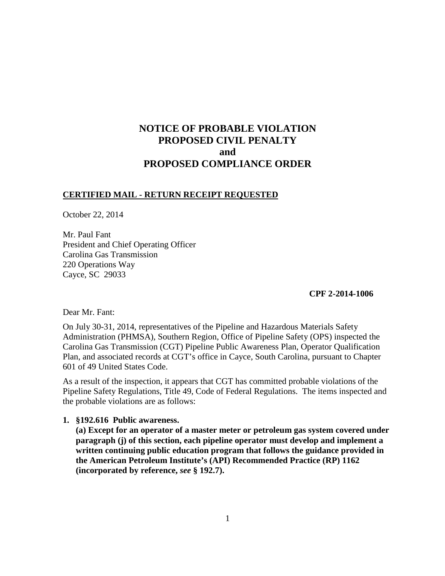# **NOTICE OF PROBABLE VIOLATION PROPOSED CIVIL PENALTY and PROPOSED COMPLIANCE ORDER**

## **CERTIFIED MAIL - RETURN RECEIPT REQUESTED**

October 22, 2014

Mr. Paul Fant President and Chief Operating Officer Carolina Gas Transmission 220 Operations Way Cayce, SC 29033

## **CPF 2-2014-1006**

Dear Mr. Fant:

On July 30-31, 2014, representatives of the Pipeline and Hazardous Materials Safety Administration (PHMSA), Southern Region, Office of Pipeline Safety (OPS) inspected the Carolina Gas Transmission (CGT) Pipeline Public Awareness Plan, Operator Qualification Plan, and associated records at CGT's office in Cayce, South Carolina, pursuant to Chapter 601 of 49 United States Code.

As a result of the inspection, it appears that CGT has committed probable violations of the Pipeline Safety Regulations, Title 49, Code of Federal Regulations. The items inspected and the probable violations are as follows:

## **1. §192.616 Public awareness.**

**(a) Except for an operator of a master meter or petroleum gas system covered under paragraph (j) of this section, each pipeline operator must develop and implement a written continuing public education program that follows the guidance provided in the American Petroleum Institute's (API) Recommended Practice (RP) 1162 (incorporated by reference,** *see* **§ 192.7).**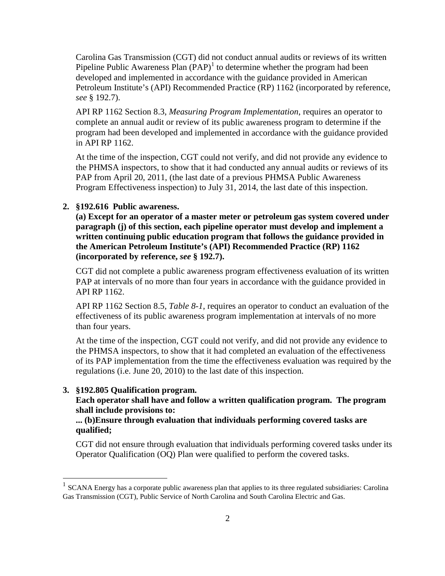Carolina Gas Transmission (CGT) did not conduct annual audits or reviews of its written Pipeline Public Awareness Plan  $(PAP)^1$  to determine whether the program had been developed and implemented in accordance with the guidance provided in American Petroleum Institute's (API) Recommended Practice (RP) 1162 (incorporated by reference, *see* § 192.7).

API RP 1162 Section 8.3, *Measuring Program Implementation*, requires an operator to complete an annual audit or review of its public awareness program to determine if the program had been developed and implemented in accordance with the guidance provided in API RP 1162.

At the time of the inspection, CGT could not verify, and did not provide any evidence to the PHMSA inspectors, to show that it had conducted any annual audits or reviews of its PAP from April 20, 2011, (the last date of a previous PHMSA Public Awareness Program Effectiveness inspection) to July 31, 2014, the last date of this inspection.

### **2. §192.616 Public awareness.**

**(a) Except for an operator of a master meter or petroleum gas system covered under paragraph (j) of this section, each pipeline operator must develop and implement a written continuing public education program that follows the guidance provided in the American Petroleum Institute's (API) Recommended Practice (RP) 1162 (incorporated by reference,** *see* **§ 192.7).** 

CGT did not complete a public awareness program effectiveness evaluation of its written PAP at intervals of no more than four years in accordance with the guidance provided in API RP 1162.

API RP 1162 Section 8.5, *Table 8-1*, requires an operator to conduct an evaluation of the effectiveness of its public awareness program implementation at intervals of no more than four years.

At the time of the inspection, CGT could not verify, and did not provide any evidence to the PHMSA inspectors, to show that it had completed an evaluation of the effectiveness of its PAP implementation from the time the effectiveness evaluation was required by the regulations (i.e. June 20, 2010) to the last date of this inspection.

#### **3. §192.805 Qualification program.**

 $\overline{a}$ 

**Each operator shall have and follow a written qualification program. The program shall include provisions to:**

## **... (b)Ensure through evaluation that individuals performing covered tasks are qualified;**

CGT did not ensure through evaluation that individuals performing covered tasks under its Operator Qualification (OQ) Plan were qualified to perform the covered tasks.

<sup>1</sup> SCANA Energy has a corporate public awareness plan that applies to its three regulated subsidiaries: Carolina Gas Transmission (CGT), Public Service of North Carolina and South Carolina Electric and Gas.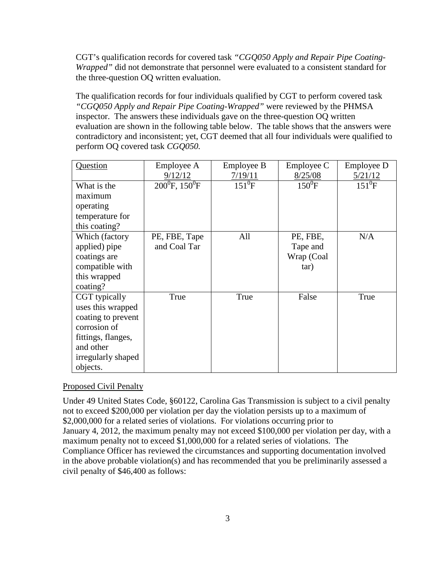CGT's qualification records for covered task *"CGQ050 Apply and Repair Pipe Coating-Wrapped"* did not demonstrate that personnel were evaluated to a consistent standard for the three-question OQ written evaluation.

The qualification records for four individuals qualified by CGT to perform covered task *"CGQ050 Apply and Repair Pipe Coating-Wrapped"* were reviewed by the PHMSA inspector. The answers these individuals gave on the three-question OQ written evaluation are shown in the following table below. The table shows that the answers were contradictory and inconsistent; yet, CGT deemed that all four individuals were qualified to perform OQ covered task *CGQ050.* 

| Question           | Employee A                    | <b>Employee B</b> | Employee C      | Employee D                       |
|--------------------|-------------------------------|-------------------|-----------------|----------------------------------|
|                    | 9/12/12                       | 7/19/11           | 8/25/08         | 5/21/12                          |
| What is the        | $200^0$ F, 150 <sup>0</sup> F | $151^0$ F         | $150^{\circ}$ F | $151^{\overline{0}}\overline{F}$ |
| maximum            |                               |                   |                 |                                  |
| operating          |                               |                   |                 |                                  |
| temperature for    |                               |                   |                 |                                  |
| this coating?      |                               |                   |                 |                                  |
| Which (factory     | PE, FBE, Tape                 | All               | PE, FBE,        | N/A                              |
| applied) pipe      | and Coal Tar                  |                   | Tape and        |                                  |
| coatings are       |                               |                   | Wrap (Coal      |                                  |
| compatible with    |                               |                   | tar)            |                                  |
| this wrapped       |                               |                   |                 |                                  |
| coating?           |                               |                   |                 |                                  |
| CGT typically      | True                          | True              | False           | True                             |
| uses this wrapped  |                               |                   |                 |                                  |
| coating to prevent |                               |                   |                 |                                  |
| corrosion of       |                               |                   |                 |                                  |
| fittings, flanges, |                               |                   |                 |                                  |
| and other          |                               |                   |                 |                                  |
| irregularly shaped |                               |                   |                 |                                  |
| objects.           |                               |                   |                 |                                  |

#### Proposed Civil Penalty

Under 49 United States Code, §60122, Carolina Gas Transmission is subject to a civil penalty not to exceed \$200,000 per violation per day the violation persists up to a maximum of \$2,000,000 for a related series of violations. For violations occurring prior to January 4, 2012, the maximum penalty may not exceed \$100,000 per violation per day, with a maximum penalty not to exceed \$1,000,000 for a related series of violations. The Compliance Officer has reviewed the circumstances and supporting documentation involved in the above probable violation(s) and has recommended that you be preliminarily assessed a civil penalty of \$46,400 as follows: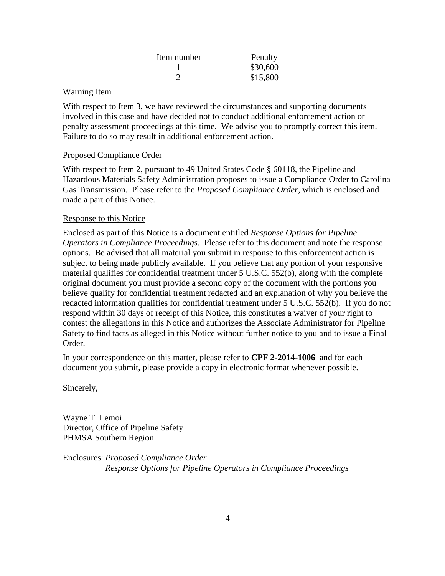| Item number | Penalty  |
|-------------|----------|
|             | \$30,600 |
|             | \$15,800 |

## Warning Item

With respect to Item 3, we have reviewed the circumstances and supporting documents involved in this case and have decided not to conduct additional enforcement action or penalty assessment proceedings at this time. We advise you to promptly correct this item. Failure to do so may result in additional enforcement action.

## Proposed Compliance Order

With respect to Item 2, pursuant to 49 United States Code § 60118, the Pipeline and Hazardous Materials Safety Administration proposes to issue a Compliance Order to Carolina Gas Transmission. Please refer to the *Proposed Compliance Order*, which is enclosed and made a part of this Notice.

## Response to this Notice

Enclosed as part of this Notice is a document entitled *Response Options for Pipeline Operators in Compliance Proceedings*. Please refer to this document and note the response options. Be advised that all material you submit in response to this enforcement action is subject to being made publicly available. If you believe that any portion of your responsive material qualifies for confidential treatment under 5 U.S.C. 552(b), along with the complete original document you must provide a second copy of the document with the portions you believe qualify for confidential treatment redacted and an explanation of why you believe the redacted information qualifies for confidential treatment under 5 U.S.C. 552(b). If you do not respond within 30 days of receipt of this Notice, this constitutes a waiver of your right to contest the allegations in this Notice and authorizes the Associate Administrator for Pipeline Safety to find facts as alleged in this Notice without further notice to you and to issue a Final Order.

In your correspondence on this matter, please refer to **CPF 2-2014-1006** and for each document you submit, please provide a copy in electronic format whenever possible.

Sincerely,

Wayne T. Lemoi Director, Office of Pipeline Safety PHMSA Southern Region

Enclosures: *Proposed Compliance Order Response Options for Pipeline Operators in Compliance Proceedings*